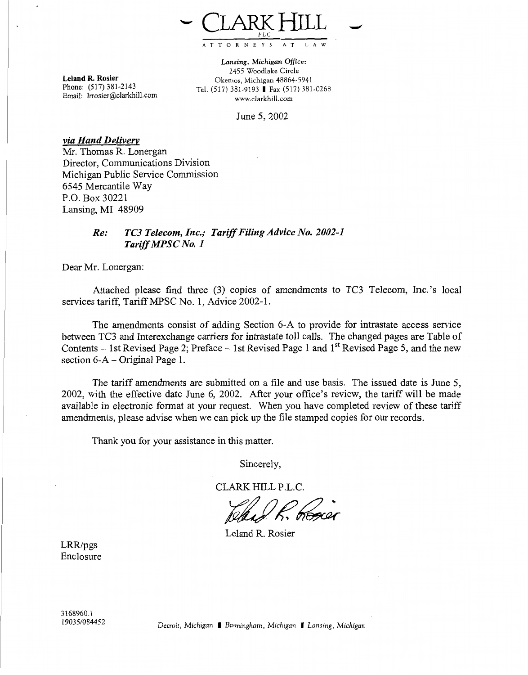

Leland R. Rosier Phone: **(517)** 381-2143<br>Email: *Irrosier@clarkhill.com* 

**Lansing,** *Michigan* **Office:**  2455 Woodlake Circle Okemos, Michigan 48864-5941 Tel. (517) 381-9193 **I** Fax (517) 381-0268 www.clarkhill.com

June 5,2002

*via Hand Deliverv*  Mr. Thomas R. Lonergan Director, Communications Division Michigan Public Service Commission 6545 Mercantile Way P.O. Box 30221 Lansing, MI 48909

## *Re: TC3 Telecom, Inc.; Tariff Filing Advice No. 2002-1 Tariff MPSC No. 1*

Dear Mr. Lonergan:

Attached please find three (3) copies of amendments to TC3 Telecom, Inc.'s local services tariff, Tariff *MPSC* No. 1, Advice 2002-1.

The amendments consist of adding Section 6-A to provide for intrastate access service between TC3 and Interexchange carriers for intrastate toll calls. The changed pages are Table of Contents - 1st Revised Page 2; Preface - 1st Revised Page 1 and 1<sup>st</sup> Revised Page 5, and the new section  $6-A$  – Original Page 1.

The tariff amendments are submitted on a file and use basis. The issued date is June *5,*  2002, with the effective date June 6, 2002. After your office's review, the tariff will be made available in electronic format at your request. When you have completed review of these tariff amendments, please advise when we can pick up the file stamped copies for our records.

Thank you for your assistance in this matter.

Sincerely,

CLARK HILL P.L.C.

Leland R. Rosier

 $LRR/pgs$ Enclosure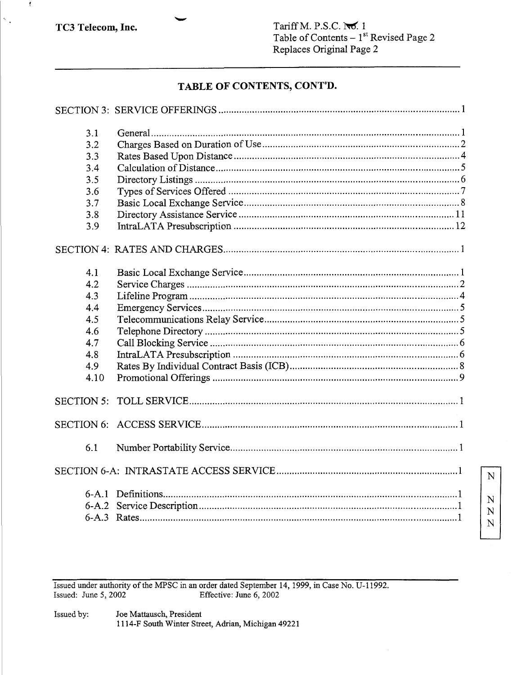$\pmb{t}$ 

 $\tilde{\gamma}_{\rm{in}}$ 

 ${\bf N}$ 

 $\mathbb{N}$  ${\bf N}$  ${\bf N}$ 

# TABLE OF CONTENTS, CONT'D.

| 3.1               |  |
|-------------------|--|
| 3.2               |  |
| 3.3               |  |
| 3.4               |  |
| 3.5               |  |
| 3.6               |  |
| 3.7               |  |
| 3.8               |  |
| 3.9               |  |
|                   |  |
| 4.1               |  |
| 4.2               |  |
| 4.3               |  |
| 4.4               |  |
| 4.5               |  |
| 4.6               |  |
| 4.7               |  |
| 4.8               |  |
| 4.9               |  |
| 4.10              |  |
| <b>SECTION 5:</b> |  |
|                   |  |
| 6.1               |  |
|                   |  |
|                   |  |

Issued under authority of the MPSC in an order dated September 14, 1999, in Case No. U-11992.<br>Issued: June 5, 2002 Effective: June 6, 2002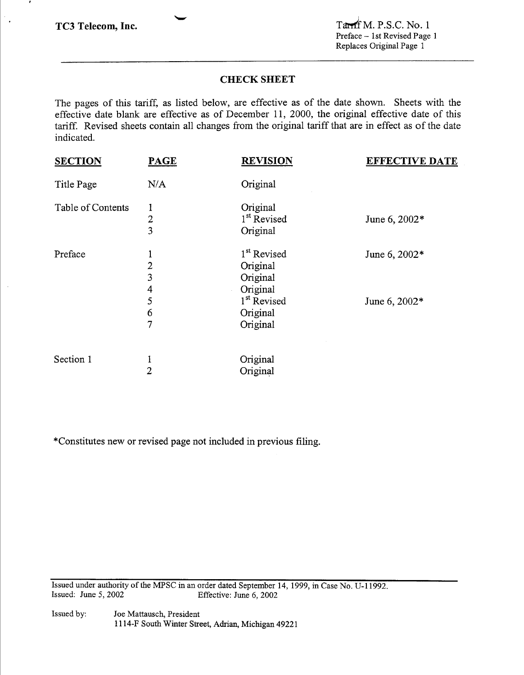$\ddot{\phantom{0}}$ 

# **CHECK SHEET**

**L** 

The pages of this tariff, as listed below, are effective as of the date shown. Sheets with the effective date blank are effective as of December 11, 2000, the original effective date of this tariff. Revised sheets contain all changes from the original tariff that are in effect as of the date indicated.

| <b>SECTION</b>    | <b>PAGE</b>              | <b>REVISION</b>                                             | <b>EFFECTIVE DATE</b> |
|-------------------|--------------------------|-------------------------------------------------------------|-----------------------|
| Title Page        | N/A                      | Original                                                    |                       |
| Table of Contents | 1<br>$\overline{2}$<br>3 | Original<br>1 <sup>st</sup> Revised<br>Original             | June 6, 2002*         |
| Preface           | $\overline{2}$<br>3<br>4 | 1 <sup>st</sup> Revised<br>Original<br>Original<br>Original | June 6, 2002*         |
|                   | 5<br>6<br>7              | 1 <sup>st</sup> Revised<br>Original<br>Original             | June 6, 2002*         |
| Section 1         | 1<br>$\overline{2}$      | Original<br>Original                                        |                       |

"Constitutes new or revised page not included in previous filing.

Issued under authority of the *MPSC* in an order dated September 14, 1999, in Case No. U-11992. Issued: June 5,2002 Effective: June *6,* 2002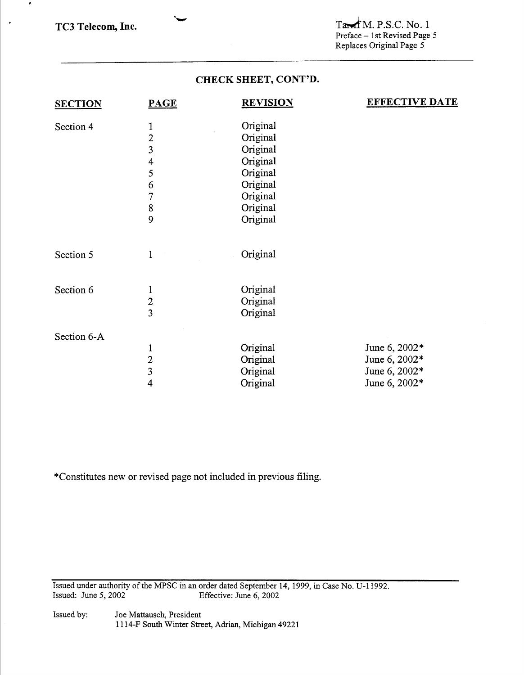$\bullet$ 

 $\bullet$ 

# **CHECK SHEET, CONT'D.**

**'w** 

| <b>SECTION</b> | <b>PAGE</b>             | <b>REVISION</b> | <b>EFFECTIVE DATE</b> |
|----------------|-------------------------|-----------------|-----------------------|
| Section 4      | 1                       | Original        |                       |
|                | $\overline{c}$          | Original        |                       |
|                | $\overline{\mathbf{3}}$ | Original        |                       |
|                | 4                       | Original        |                       |
|                | 5                       | Original        |                       |
|                | 6                       | Original        |                       |
|                | 7                       | Original        |                       |
|                | 8                       | Original        |                       |
|                | 9                       | Original        |                       |
| Section 5      | $\mathbf{1}$            | Original        |                       |
| Section 6      | $\mathbf{1}$            | Original        |                       |
|                |                         | Original        |                       |
|                | $\frac{2}{3}$           | Original        |                       |
| Section 6-A    |                         |                 |                       |
|                | 1                       | Original        | June 6, 2002*         |
|                | $\boldsymbol{2}$        | Original        | June 6, 2002*         |
|                | $\overline{\mathbf{3}}$ | Original        | June 6, 2002*         |
|                | 4                       | Original        | June 6, 2002*         |

\*Constitutes new or revised page not included in previous filing.

Issued under authority of the MPSC in an order dated September 14, 1999, in Case No. U-11992. Issued: June 5,2002 Effective: June *6,* 2002